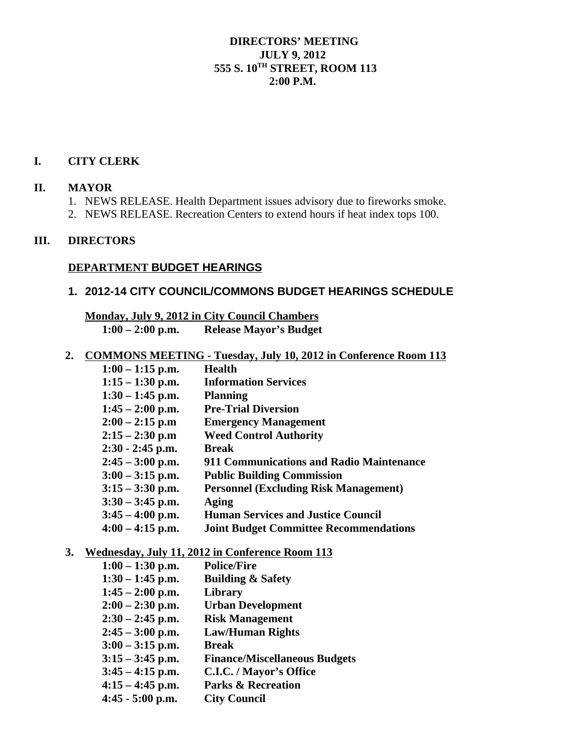### **DIRECTORS' MEETING JULY 9, 2012 555 S. 10TH STREET, ROOM 113 2:00 P.M.**

#### **I. CITY CLERK**

#### **II. MAYOR**

- 1. NEWS RELEASE. Health Department issues advisory due to fireworks smoke.
- 2. NEWS RELEASE. Recreation Centers to extend hours if heat index tops 100.

#### **III. DIRECTORS**

## **DEPARTMENT BUDGET HEARINGS**

### **1. 2012-14 CITY COUNCIL/COMMONS BUDGET HEARINGS SCHEDULE**

 **Monday, July 9, 2012 in City Council Chambers 1:00 – 2:00 p.m. Release Mayor's Budget**

 **2. COMMONS MEETING - Tuesday, July 10, 2012 in Conference Room 113**

| $1:00 - 1:15$ p.m. | Health                                        |
|--------------------|-----------------------------------------------|
| $1:15 - 1:30$ p.m. | <b>Information Services</b>                   |
| $1:30 - 1:45$ p.m. | <b>Planning</b>                               |
| $1:45 - 2:00$ p.m. | <b>Pre-Trial Diversion</b>                    |
| $2:00 - 2:15$ p.m  | <b>Emergency Management</b>                   |
| $2:15 - 2:30$ p.m  | <b>Weed Control Authority</b>                 |
| $2:30 - 2:45$ p.m. | <b>Break</b>                                  |
| $2:45 - 3:00$ p.m. | 911 Communications and Radio Maintenance      |
| $3:00 - 3:15$ p.m. | <b>Public Building Commission</b>             |
| $3:15 - 3:30$ p.m. | <b>Personnel (Excluding Risk Management)</b>  |
| $3:30 - 3:45$ p.m. | Aging                                         |
| $3:45 - 4:00$ p.m. | <b>Human Services and Justice Council</b>     |
| $4:00 - 4:15$ p.m. | <b>Joint Budget Committee Recommendations</b> |

#### **3. Wednesday, July 11, 2012 in Conference Room 113**

| $1:00 - 1:30$ p.m. | <b>Police/Fire</b>                   |
|--------------------|--------------------------------------|
| $1:30 - 1:45$ p.m. | <b>Building &amp; Safety</b>         |
| $1:45 - 2:00$ p.m. | Library                              |
| $2:00 - 2:30$ p.m. | <b>Urban Development</b>             |
| $2:30 - 2:45$ p.m. | <b>Risk Management</b>               |
| $2:45 - 3:00$ p.m. | <b>Law/Human Rights</b>              |
| $3:00 - 3:15$ p.m. | <b>Break</b>                         |
| $3:15 - 3:45$ p.m. | <b>Finance/Miscellaneous Budgets</b> |
| $3:45 - 4:15$ p.m. | C.I.C. / Mayor's Office              |
| $4:15 - 4:45$ p.m. | <b>Parks &amp; Recreation</b>        |
| $4:45 - 5:00$ p.m. | <b>City Council</b>                  |